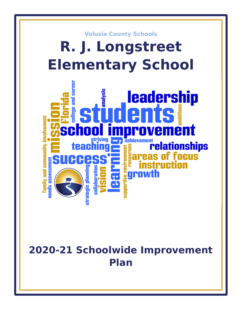

# **2020-21 Schoolwide Improvement Plan**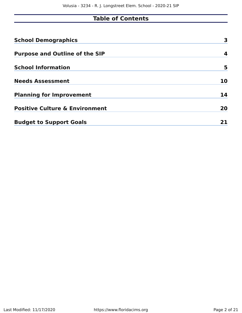# **Table of Contents**

| <b>School Demographics</b>                | 3  |
|-------------------------------------------|----|
| <b>Purpose and Outline of the SIP</b>     | 4  |
| <b>School Information</b>                 | 5  |
| <b>Needs Assessment</b>                   | 10 |
| <b>Planning for Improvement</b>           | 14 |
| <b>Positive Culture &amp; Environment</b> | 20 |
| <b>Budget to Support Goals</b>            |    |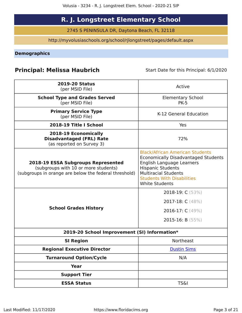# **R. J. Longstreet Elementary School**

2745 S PENINSULA DR, Daytona Beach, FL 32118

http://myvolusiaschools.org/school/rjlongstreet/pages/default.aspx

<span id="page-2-0"></span>**Demographics**

# **Principal: Melissa Haubrich** Start Date for this Principal: 6/1/2020

| <b>2019-20 Status</b><br>(per MSID File)                                                                                                   | Active                                                                                                                                                                                                                                     |
|--------------------------------------------------------------------------------------------------------------------------------------------|--------------------------------------------------------------------------------------------------------------------------------------------------------------------------------------------------------------------------------------------|
| <b>School Type and Grades Served</b><br>(per MSID File)                                                                                    | <b>Elementary School</b><br><b>PK-5</b>                                                                                                                                                                                                    |
| <b>Primary Service Type</b><br>(per MSID File)                                                                                             | K-12 General Education                                                                                                                                                                                                                     |
| 2018-19 Title I School                                                                                                                     | Yes                                                                                                                                                                                                                                        |
| 2018-19 Economically<br><b>Disadvantaged (FRL) Rate</b><br>(as reported on Survey 3)                                                       | 72%                                                                                                                                                                                                                                        |
| <b>2018-19 ESSA Subgroups Represented</b><br>(subgroups with 10 or more students)<br>(subgroups in orange are below the federal threshold) | <b>Black/African American Students</b><br><b>Economically Disadvantaged Students</b><br>English Language Learners<br><b>Hispanic Students</b><br><b>Multiracial Students</b><br><b>Students With Disabilities</b><br><b>White Students</b> |
| <b>School Grades History</b>                                                                                                               | 2018-19: C (53%)<br>2017-18: C (48%)<br>2016-17: C (49%)<br>2015-16: B $(55%)$                                                                                                                                                             |
| 2019-20 School Improvement (SI) Information*                                                                                               |                                                                                                                                                                                                                                            |
| <b>SI Region</b>                                                                                                                           | <b>Northeast</b>                                                                                                                                                                                                                           |
| <b>Regional Executive Director</b>                                                                                                         | <b>Dustin Sims</b>                                                                                                                                                                                                                         |
| <b>Turnaround Option/Cycle</b>                                                                                                             | N/A                                                                                                                                                                                                                                        |
| <b>Year</b>                                                                                                                                |                                                                                                                                                                                                                                            |
| <b>Support Tier</b>                                                                                                                        |                                                                                                                                                                                                                                            |
| <b>ESSA Status</b>                                                                                                                         | <b>TS&amp;I</b>                                                                                                                                                                                                                            |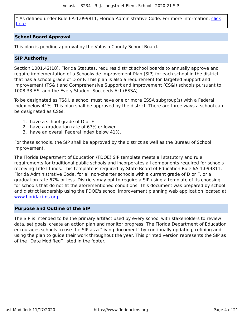\* As defined under Rule 6A-1.099811, Florida Administrative Code. For more information, [click](/downloads?category=da-forms) [here](/downloads?category=da-forms).

# **School Board Approval**

This plan is pending approval by the Volusia County School Board.

# **SIP Authority**

Section 1001.42(18), Florida Statutes, requires district school boards to annually approve and require implementation of a Schoolwide Improvement Plan (SIP) for each school in the district that has a school grade of D or F. This plan is also a requirement for Targeted Support and Improvement (TS&I) and Comprehensive Support and Improvement (CS&I) schools pursuant to 1008.33 F.S. and the Every Student Succeeds Act (ESSA).

To be designated as TS&I, a school must have one or more ESSA subgroup(s) with a Federal Index below 41%. This plan shall be approved by the district. There are three ways a school can be designated as CS&I:

- 1. have a school grade of D or F
- 2. have a graduation rate of 67% or lower
- 3. have an overall Federal Index below 41%.

For these schools, the SIP shall be approved by the district as well as the Bureau of School Improvement.

The Florida Department of Education (FDOE) SIP template meets all statutory and rule requirements for traditional public schools and incorporates all components required for schools receiving Title I funds. This template is required by State Board of Education Rule 6A-1.099811, Florida Administrative Code, for all non-charter schools with a current grade of D or F, or a graduation rate 67% or less. Districts may opt to require a SIP using a template of its choosing for schools that do not fit the aforementioned conditions. This document was prepared by school and district leadership using the FDOE's school improvement planning web application located at [www.floridacims.org.](https://www.floridacims.org)

# <span id="page-3-0"></span>**Purpose and Outline of the SIP**

The SIP is intended to be the primary artifact used by every school with stakeholders to review data, set goals, create an action plan and monitor progress. The Florida Department of Education encourages schools to use the SIP as a "living document" by continually updating, refining and using the plan to guide their work throughout the year. This printed version represents the SIP as of the "Date Modified" listed in the footer.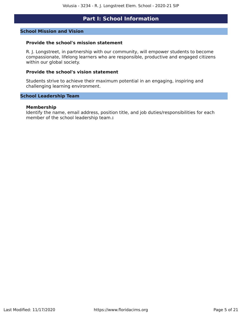# **Part I: School Information**

#### <span id="page-4-0"></span>**School Mission and Vision**

### **Provide the school's mission statement**

R. J. Longstreet, in partnership with our community, will empower students to become compassionate, lifelong learners who are responsible, productive and engaged citizens within our global society.

## **Provide the school's vision statement**

Students strive to achieve their maximum potential in an engaging, inspiring and challenging learning environment.

### **School Leadership Team**

#### **Membership**

Identify the name, email address, position title, and job duties/responsibilities for each member of the school leadership team.**:**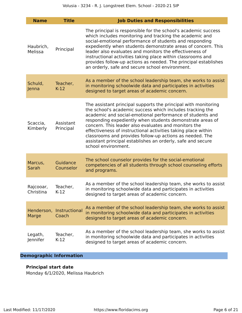| <b>Name</b>            | <b>Title</b>                      | <b>Job Duties and Responsibilities</b>                                                                                                                                                                                                                                                                                                                                                                                                                                                                                           |
|------------------------|-----------------------------------|----------------------------------------------------------------------------------------------------------------------------------------------------------------------------------------------------------------------------------------------------------------------------------------------------------------------------------------------------------------------------------------------------------------------------------------------------------------------------------------------------------------------------------|
| Haubrich,<br>Melissa   | Principal                         | The principal is responsible for the school's academic success<br>which includes monitoring and tracking the academic and<br>social-emotional performance of students and responding<br>expediently when students demonstrate areas of concern. This<br>leader also evaluates and monitors the effectiveness of<br>instructional activities taking place within classrooms and<br>provides follow-up actions as needed. The principal establishes<br>an orderly, safe and secure school environment.                             |
| Schuld,<br>Jenna       | Teacher,<br>$K-12$                | As a member of the school leadership team, she works to assist<br>in monitoring schoolwide data and participates in activities<br>designed to target areas of academic concern.                                                                                                                                                                                                                                                                                                                                                  |
| Scaccia,<br>Kimberly   | Assistant<br>Principal            | The assistant principal supports the principal with monitoring<br>the school's academic success which includes tracking the<br>academic and social-emotional performance of students and<br>responding expediently when students demonstrate areas of<br>concern. This leader also evaluates and monitors the<br>effectiveness of instructional activities taking place within<br>classrooms and provides follow-up actions as needed. The<br>assistant principal establishes an orderly, safe and secure<br>school environment. |
| Marcus,<br>Sarah       | Guidance<br>Counselor             | The school counselor provides for the social-emotional<br>competencies of all students through school counseling efforts<br>and programs.                                                                                                                                                                                                                                                                                                                                                                                        |
| Rajcooar,<br>Christina | Teacher,<br>$K-12$                | As a member of the school leadership team, she works to assist<br>in monitoring schoolwide data and participates in activities<br>designed to target areas of academic concern.                                                                                                                                                                                                                                                                                                                                                  |
| Marge                  | Henderson, Instructional<br>Coach | As a member of the school leadership team, she works to assist<br>in monitoring schoolwide data and participates in activities<br>designed to target areas of academic concern.                                                                                                                                                                                                                                                                                                                                                  |
| Legath,<br>Jennifer    | Teacher,<br>$K-12$                | As a member of the school leadership team, she works to assist<br>in monitoring schoolwide data and participates in activities<br>designed to target areas of academic concern.                                                                                                                                                                                                                                                                                                                                                  |

# **Demographic Information**

# **Principal start date**

Monday 6/1/2020, Melissa Haubrich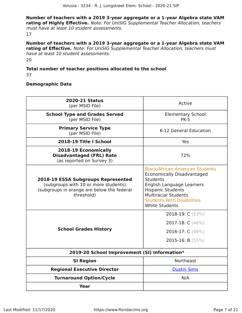**Number of teachers with a 2019 3-year aggregate or a 1-year Algebra state VAM rating of Highly Effective.** Note: For UniSIG Supplemental Teacher Allocation, teachers must have at least 10 student assessments. 17

**Number of teachers with a 2019 3-year aggregate or a 1-year Algebra state VAM rating of Effective.** Note: For UniSIG Supplemental Teacher Allocation, teachers must have at least 10 student assessments.  $20$ 

# **Total number of teacher positions allocated to the school**

37

# **Demographic Data**

| <b>2020-21 Status</b><br>(per MSID File)                                                                                                      | Active                                                                                                                                                                                                                                               |
|-----------------------------------------------------------------------------------------------------------------------------------------------|------------------------------------------------------------------------------------------------------------------------------------------------------------------------------------------------------------------------------------------------------|
| <b>School Type and Grades Served</b><br>(per MSID File)                                                                                       | <b>Elementary School</b><br><b>PK-5</b>                                                                                                                                                                                                              |
| <b>Primary Service Type</b><br>(per MSID File)                                                                                                | K-12 General Education                                                                                                                                                                                                                               |
| 2018-19 Title I School                                                                                                                        | Yes                                                                                                                                                                                                                                                  |
| 2018-19 Economically<br><b>Disadvantaged (FRL) Rate</b><br>(as reported on Survey 3)                                                          | 72%                                                                                                                                                                                                                                                  |
| <b>2018-19 ESSA Subgroups Represented</b><br>(subgroups with 10 or more students)<br>(subgroups in orange are below the federal<br>threshold) | <b>Black/African American Students</b><br><b>Economically Disadvantaged</b><br><b>Students</b><br>English Language Learners<br><b>Hispanic Students</b><br><b>Multiracial Students</b><br><b>Students With Disabilities</b><br><b>White Students</b> |
| <b>School Grades History</b>                                                                                                                  | 2018-19: C (53%)<br>2017-18: C (48%)<br>2016-17: C (49%)<br>2015-16: B $(55%)$                                                                                                                                                                       |
| 2019-20 School Improvement (SI) Information*                                                                                                  |                                                                                                                                                                                                                                                      |
| <b>SI Region</b>                                                                                                                              | <b>Northeast</b>                                                                                                                                                                                                                                     |
| <b>Regional Executive Director</b>                                                                                                            | <b>Dustin Sims</b>                                                                                                                                                                                                                                   |
| <b>Turnaround Option/Cycle</b>                                                                                                                | N/A                                                                                                                                                                                                                                                  |
| Year                                                                                                                                          |                                                                                                                                                                                                                                                      |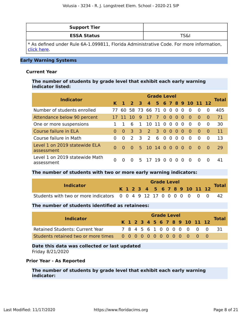| <b>Support Tier</b> |      |
|---------------------|------|
| <b>ESSA Status</b>  | TS&. |

\* As defined under Rule 6A-1.099811, Florida Administrative Code. For more information, [click here](https://www.flrules.org/gateway/ruleNo.asp?id=6A-1.099811).

# **Early Warning Systems**

### **Current Year**

# **The number of students by grade level that exhibit each early warning indicator listed:**

| <b>Indicator</b>                             |          |          |                      |                |                 | <b>Grade Level</b> |                   |                |          |          |                              |          |          | <b>Total</b> |
|----------------------------------------------|----------|----------|----------------------|----------------|-----------------|--------------------|-------------------|----------------|----------|----------|------------------------------|----------|----------|--------------|
|                                              |          |          |                      |                |                 |                    |                   |                |          |          | K 1 2 3 4 5 6 7 8 9 10 11 12 |          |          |              |
| Number of students enrolled                  | 77       |          | 60 58 73 66 71 0 0 0 |                |                 |                    |                   |                |          | $\Omega$ | $\Omega$                     | $\Omega$ | $\Omega$ | 405          |
| Attendance below 90 percent                  |          |          | -10                  | 9              | 17 7            |                    | 000               |                |          | - 0      | - ೧                          | $\Omega$ | $\Omega$ | 71           |
| One or more suspensions                      |          |          | 6                    | $\mathbf{1}$   | 10 11           |                    | $\overline{0}$    | 0 <sub>0</sub> |          | - 0      | - 0                          | $\Omega$ | $\Omega$ | 30           |
| Course failure in ELA                        | $\Omega$ | $\Omega$ | 3                    | $\overline{3}$ | $\overline{2}$  | $\overline{3}$     | $0\quad 0\quad 0$ |                |          | - 0      | $\Omega$                     | $\Omega$ | $\Omega$ | 11           |
| Course failure in Math                       | $\Omega$ | $\Omega$ | $\mathcal{P}$        | 3              | 2               | -6                 | $\Omega$          | $\overline{0}$ | $\Omega$ | $\Omega$ | $\Omega$                     | $\Omega$ | $\Omega$ | 13           |
| Level 1 on 2019 statewide ELA<br>assessment  | $\Omega$ | $\Omega$ | $\Omega$             |                | 5 10 14 0 0 0 0 |                    |                   |                |          |          | - 0                          | <b>O</b> | $\Omega$ | 29           |
| Level 1 on 2019 statewide Math<br>assessment | 0        | $\Omega$ | $\Omega$             |                | 5 17 19 0       |                    |                   | $\Omega$       | $\Omega$ | $\Omega$ | $\Omega$                     | $\Omega$ | $\Omega$ | 41           |

#### **The number of students with two or more early warning indicators:**

| <b>Indicator</b>                                                    |  |  | <b>Grade Level</b> |  |  |                              |  | <b>Total</b> |
|---------------------------------------------------------------------|--|--|--------------------|--|--|------------------------------|--|--------------|
|                                                                     |  |  |                    |  |  | K 1 2 3 4 5 6 7 8 9 10 11 12 |  |              |
| Students with two or more indicators 0 0 4 9 12 17 0 0 0 0 0 0 0 42 |  |  |                    |  |  |                              |  |              |

### **The number of students identified as retainees:**

|                                        |  | <b>Grade Level</b> |  |  |  |  |  |  |  |  |  |                              |                           |              |  |
|----------------------------------------|--|--------------------|--|--|--|--|--|--|--|--|--|------------------------------|---------------------------|--------------|--|
| <b>Indicator</b>                       |  |                    |  |  |  |  |  |  |  |  |  | K 1 2 3 4 5 6 7 8 9 10 11 12 |                           | <b>Total</b> |  |
| <b>Retained Students: Current Year</b> |  |                    |  |  |  |  |  |  |  |  |  |                              | 7 8 4 5 6 1 0 0 0 0 0 0 0 | - 31 -       |  |
|                                        |  |                    |  |  |  |  |  |  |  |  |  |                              |                           |              |  |

# **Date this data was collected or last updated** Friday 8/21/2020

#### **Prior Year - As Reported**

# **The number of students by grade level that exhibit each early warning indicator:**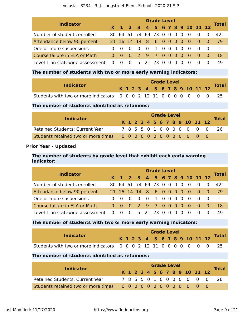|                                 |                         |          |                    |                            |                | <b>Grade Level</b>      |          |                   |          |                          |                                     |              |
|---------------------------------|-------------------------|----------|--------------------|----------------------------|----------------|-------------------------|----------|-------------------|----------|--------------------------|-------------------------------------|--------------|
| <b>Indicator</b>                |                         |          | $K$ 1 2 3          |                            |                |                         |          |                   |          |                          | 4 5 6 7 8 9 10 11 12                | <b>Total</b> |
| Number of students enrolled     |                         |          |                    |                            |                | 80 64 61 74 69 73 0     |          | $0\quad 0\quad 0$ |          | $\overline{0}$           | - 0                                 | 421          |
| Attendance below 90 percent     |                         |          |                    |                            |                | 21 16 14 14 8 6 0 0 0 0 |          |                   |          | $\overline{\phantom{0}}$ | $\begin{matrix} 0 & 0 \end{matrix}$ | 79           |
| One or more suspensions         |                         | $\Omega$ | - 0                | $\overline{\phantom{0}}$ 0 | $\overline{0}$ | 1 0 0 0 0               |          |                   |          | $\overline{0}$           | $\overline{0}$                      | $\mathbf{1}$ |
| Course failure in ELA or Math   | $\Omega$                | - 0      | $\blacktriangle$ 0 |                            |                | 2 9 7 0 0 0 0           |          |                   |          | - 0                      | $\begin{matrix} 0 & 0 \end{matrix}$ | 18           |
| Level 1 on statewide assessment | $\overline{\mathbf{0}}$ | $\Omega$ | $\overline{0}$     |                            |                | 5 21 23 0               | $\Omega$ | $\Omega$          | $\Omega$ |                          |                                     | 49           |

## **The number of students with two or more early warning indicators:**

| <b>Indicator</b>                                                    |  |  | <b>Grade Level</b> |  |  |  |                              |              |
|---------------------------------------------------------------------|--|--|--------------------|--|--|--|------------------------------|--------------|
|                                                                     |  |  |                    |  |  |  | K 1 2 3 4 5 6 7 8 9 10 11 12 | <b>Total</b> |
| Students with two or more indicators 0 0 0 2 12 11 0 0 0 0 0 0 0 25 |  |  |                    |  |  |  |                              |              |

# **The number of students identified as retainees:**

| <b>Indicator</b>                       |  |  |  | <b>Grade Level</b> |  |  |                              |              |
|----------------------------------------|--|--|--|--------------------|--|--|------------------------------|--------------|
|                                        |  |  |  |                    |  |  | K 1 2 3 4 5 6 7 8 9 10 11 12 | <b>Total</b> |
| <b>Retained Students: Current Year</b> |  |  |  |                    |  |  | 7 8 5 5 0 1 0 0 0 0 0 0 0    | -26          |
|                                        |  |  |  |                    |  |  |                              |              |

# **Prior Year - Updated**

# **The number of students by grade level that exhibit each early warning indicator:**

| <b>Indicator</b>                  | <b>Grade Level</b> |                |     |  |  |                         |  |          |                   |          |                              |                                     | <b>Total</b> |              |
|-----------------------------------|--------------------|----------------|-----|--|--|-------------------------|--|----------|-------------------|----------|------------------------------|-------------------------------------|--------------|--------------|
|                                   |                    |                |     |  |  |                         |  |          |                   |          | K 1 2 3 4 5 6 7 8 9 10 11 12 |                                     |              |              |
| Number of students enrolled       | 80.                |                |     |  |  | 64 61 74 69 73 0        |  |          | $0\quad 0\quad 0$ |          | $\overline{0}$               | - 0                                 | $\Omega$     | 421          |
| Attendance below 90 percent       |                    |                |     |  |  | 21 16 14 14 8 6 0 0 0 0 |  |          |                   |          | - 0                          | $\begin{matrix} 0 & 0 \end{matrix}$ |              | 79           |
| One or more suspensions           |                    | $0 \quad 0$    | - 0 |  |  | 0 0 1 0 0 0 0           |  |          |                   |          | $\Omega$                     | $\begin{matrix} 0 & 0 \end{matrix}$ |              | $\mathbf{1}$ |
| Course failure in ELA or Math     |                    | $0 \Omega$     |     |  |  | 0 2 9 7 0 0 0 0         |  |          |                   |          | - 0                          | $\begin{matrix} 0 & 0 \end{matrix}$ |              | 18           |
| Level 1 on statewide assessment 0 |                    | $\overline{0}$ |     |  |  | 0 5 21 23 0             |  | $\Omega$ | $\cdot$ 0 $\cdot$ | $\Omega$ | - 0                          |                                     |              | 49           |

# **The number of students with two or more early warning indicators:**

|                                                                     | <b>Grade Level</b> |  |  |  |  |  |  |  |  |  |  |                              |  |
|---------------------------------------------------------------------|--------------------|--|--|--|--|--|--|--|--|--|--|------------------------------|--|
| <b>Indicator</b>                                                    |                    |  |  |  |  |  |  |  |  |  |  | K 1 2 3 4 5 6 7 8 9 10 11 12 |  |
| Students with two or more indicators 0 0 0 2 12 11 0 0 0 0 0 0 0 25 |                    |  |  |  |  |  |  |  |  |  |  |                              |  |

# **The number of students identified as retainees:**

|                                        | <b>Grade Level</b> |  |  |  |  |  |  |  |  |  |  |                              |              |
|----------------------------------------|--------------------|--|--|--|--|--|--|--|--|--|--|------------------------------|--------------|
| <b>Indicator</b>                       |                    |  |  |  |  |  |  |  |  |  |  | K 1 2 3 4 5 6 7 8 9 10 11 12 | <b>Total</b> |
| <b>Retained Students: Current Year</b> |                    |  |  |  |  |  |  |  |  |  |  | 7855010000000                | -26          |
|                                        |                    |  |  |  |  |  |  |  |  |  |  |                              |              |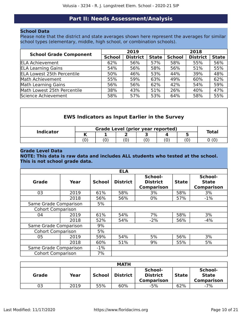# **Part II: Needs Assessment/Analysis**

# <span id="page-9-0"></span>**School Data**

Please note that the district and state averages shown here represent the averages for similar school types (elementary, middle, high school, or combination schools).

| <b>School Grade Component</b>     |               | 2019            |              | 2018          |                 |              |  |
|-----------------------------------|---------------|-----------------|--------------|---------------|-----------------|--------------|--|
|                                   | <b>School</b> | <b>District</b> | <b>State</b> | <b>School</b> | <b>District</b> | <b>State</b> |  |
| <b>ELA Achievement</b>            | 62%           | 56%             | 57%          | 58%           | 55%             | 56%          |  |
| <b>ELA Learning Gains</b>         | 54%           | 56%             | 58%          | 56%           | 51%             | 55%          |  |
| <b>ELA Lowest 25th Percentile</b> | 50%           | 46%             | 53%          | 44%           | 39%             | 48%          |  |
| Math Achievement                  | 55%           | 59%             | 63%          | 49%           | 60%             | 62%          |  |
| Math Learning Gains               | 56%           | 56%             | 62%          | 42%           | 54%             | 59%          |  |
| Math Lowest 25th Percentile       | 38%           | 43%             | 51%          | 26%           | 40%             | 47%          |  |
| Science Achievement               | 58%           | 57%             | 53%          | 64%           | 58%             | 55%          |  |

| <b>EWS Indicators as Input Earlier in the Survey</b> |  |                                   |  |  |  |  |              |  |  |  |
|------------------------------------------------------|--|-----------------------------------|--|--|--|--|--------------|--|--|--|
| <b>Indicator</b>                                     |  | Grade Level (prior year reported) |  |  |  |  | <b>Total</b> |  |  |  |
|                                                      |  |                                   |  |  |  |  |              |  |  |  |

(0)  $(0)$   $(0)$   $(0)$   $(0)$   $(0)$   $(0)$   $(0)$   $(0)$   $(0)$ 

### **Grade Level Data**

# **NOTE: This data is raw data and includes ALL students who tested at the school. This is not school grade data.**

|                          |      |               | <b>ELA</b>      |                                                 |              |                                              |
|--------------------------|------|---------------|-----------------|-------------------------------------------------|--------------|----------------------------------------------|
| <b>Grade</b>             | Year | <b>School</b> | <b>District</b> | School-<br><b>District</b><br><b>Comparison</b> | <b>State</b> | School-<br><b>State</b><br><b>Comparison</b> |
| 03                       | 2019 | 61%           | 58%             | 3%                                              | 58%          | 3%                                           |
|                          | 2018 | 56%           | 56%             | $0\%$                                           | 57%          | $-1\%$                                       |
| Same Grade Comparison    |      | 5%            |                 |                                                 |              |                                              |
| <b>Cohort Comparison</b> |      |               |                 |                                                 |              |                                              |
| 04                       | 2019 | 61%           | 54%             | 7%                                              | 58%          | 3%                                           |
|                          | 2018 | 52%           | 54%             | $-2%$                                           | 56%          | $-4%$                                        |
| Same Grade Comparison    |      | 9%            |                 |                                                 |              |                                              |
| <b>Cohort Comparison</b> |      | 5%            |                 |                                                 |              |                                              |
| 05                       | 2019 | 59%           | 54%             | 5%                                              | 56%          | 3%                                           |
|                          | 2018 | 60%           | 51%             | 9%                                              | 55%          | 5%                                           |
| Same Grade Comparison    |      | $-1\%$        |                 |                                                 |              |                                              |
| <b>Cohort Comparison</b> |      | 7%            |                 |                                                 |              |                                              |

|       | <b>MATH</b> |        |                 |                                                 |              |                                              |  |  |  |  |  |  |
|-------|-------------|--------|-----------------|-------------------------------------------------|--------------|----------------------------------------------|--|--|--|--|--|--|
| Grade | Year        | School | <b>District</b> | School-<br><b>District</b><br><b>Comparison</b> | <b>State</b> | School-<br><b>State</b><br><b>Comparison</b> |  |  |  |  |  |  |
| 03    | 2019        | 55%    | 60%             | $-5%$                                           | 62%          | $-7%$                                        |  |  |  |  |  |  |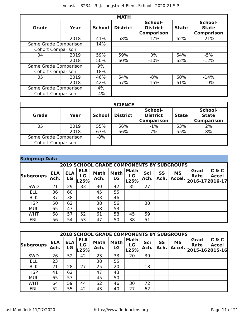|                          |      |               | <b>MATH</b>     |                                                 |              |                                              |
|--------------------------|------|---------------|-----------------|-------------------------------------------------|--------------|----------------------------------------------|
| <b>Grade</b>             | Year | <b>School</b> | <b>District</b> | School-<br><b>District</b><br><b>Comparison</b> | <b>State</b> | School-<br><b>State</b><br><b>Comparison</b> |
|                          | 2018 | 41%           | 58%             | $-17%$                                          | 62%          | $-21%$                                       |
| Same Grade Comparison    |      | 14%           |                 |                                                 |              |                                              |
| <b>Cohort Comparison</b> |      |               |                 |                                                 |              |                                              |
| 04                       | 2019 | 59%           | 59%             | $0\%$                                           | 64%          | $-5%$                                        |
|                          | 2018 | 50%           | 60%             | $-10%$                                          | 62%          | $-12%$                                       |
| Same Grade Comparison    |      | 9%            |                 |                                                 |              |                                              |
| <b>Cohort Comparison</b> |      | 18%           |                 |                                                 |              |                                              |
| 05                       | 2019 | 46%           | 54%             | $-8%$                                           | 60%          | $-14%$                                       |
|                          | 2018 | 42%           | 57%             | $-15%$                                          | 61%          | $-19%$                                       |
| Same Grade Comparison    |      | 4%            |                 |                                                 |              |                                              |
| <b>Cohort Comparison</b> |      | $-4%$         |                 |                                                 |              |                                              |

|                          | <b>SCIENCE</b> |               |                 |                                                 |              |                                              |  |  |  |  |  |  |
|--------------------------|----------------|---------------|-----------------|-------------------------------------------------|--------------|----------------------------------------------|--|--|--|--|--|--|
| <b>Grade</b>             | Year           | <b>School</b> | <b>District</b> | School-<br><b>District</b><br><b>Comparison</b> | <b>State</b> | School-<br><b>State</b><br><b>Comparison</b> |  |  |  |  |  |  |
| 05                       | 2019           | 55%           | 56%             | $-1%$                                           | 53%          | 2%                                           |  |  |  |  |  |  |
|                          | 2018           | 63%           | 56%             | 7%                                              | 55%          | 8%                                           |  |  |  |  |  |  |
| Same Grade Comparison    | $-8%$          |               |                 |                                                 |              |                                              |  |  |  |  |  |  |
| <b>Cohort Comparison</b> |                |               |                 |                                                 |              |                                              |  |  |  |  |  |  |

| <b>Subgroup Data</b> |                                                  |                  |                          |                     |                   |                           |             |                   |                     |              |                                          |  |
|----------------------|--------------------------------------------------|------------------|--------------------------|---------------------|-------------------|---------------------------|-------------|-------------------|---------------------|--------------|------------------------------------------|--|
|                      | <b>2019 SCHOOL GRADE COMPONENTS BY SUBGROUPS</b> |                  |                          |                     |                   |                           |             |                   |                     |              |                                          |  |
| <b>Subgroups</b>     | <b>ELA</b><br>Ach.                               | <b>ELA</b><br>LG | <b>ELA</b><br>LG<br>.25% | <b>Math</b><br>Ach. | <b>Math</b><br>LG | <b>Math</b><br>LG<br>L25% | Sci<br>Ach. | <b>SS</b><br>Ach. | <b>MS</b><br>Accel. | Grad<br>Rate | C & C<br><b>Accel</b><br>2016-17 2016-17 |  |
| <b>SWD</b>           | 21                                               | 29               | 33                       | 30                  | 42                | 35                        | 27          |                   |                     |              |                                          |  |
| <b>ELL</b>           | 36                                               | 60               |                          | 45                  | 55                |                           |             |                   |                     |              |                                          |  |
| <b>BLK</b>           | 37                                               | 38               |                          | 33                  | 46                |                           |             |                   |                     |              |                                          |  |
| <b>HSP</b>           | 50                                               | 62               |                          | 38                  | 56                |                           | 30          |                   |                     |              |                                          |  |
| <b>MUL</b>           | 65                                               | 47               |                          | 58                  | 53                |                           |             |                   |                     |              |                                          |  |
| <b>WHT</b>           | 68                                               | 57               | 52                       | 61                  | 58                | 45                        | 59          |                   |                     |              |                                          |  |
| <b>FRL</b>           | 56                                               | 54               | 53                       | 47                  | 50                | 38                        | 51          |                   |                     |              |                                          |  |

|                  | <b>2018 SCHOOL GRADE COMPONENTS BY SUBGROUPS</b> |                  |                          |                     |                   |                           |             |            |                     |                                       |                       |  |  |
|------------------|--------------------------------------------------|------------------|--------------------------|---------------------|-------------------|---------------------------|-------------|------------|---------------------|---------------------------------------|-----------------------|--|--|
| <b>Subgroups</b> | <b>ELA</b><br>Ach.                               | <b>ELA</b><br>LG | <b>ELA</b><br>LG<br>.25% | <b>Math</b><br>Ach. | <b>Math</b><br>LG | <b>Math</b><br>LG<br>L25% | Sci<br>Ach. | SS<br>Ach. | <b>MS</b><br>Accel. | Grad<br><b>Rate</b><br>2015-162015-16 | C & C<br><b>Accel</b> |  |  |
| <b>SWD</b>       | 26                                               | 52               | 42                       | 23                  | 33                | 20                        | 39          |            |                     |                                       |                       |  |  |
| <b>ELL</b>       | 23                                               |                  |                          | 38                  | 55                |                           |             |            |                     |                                       |                       |  |  |
| <b>BLK</b>       | 21                                               | 28               | 27                       | 25                  | 20                |                           | 18          |            |                     |                                       |                       |  |  |
| <b>HSP</b>       | 41                                               | 62               |                          | 47                  | 43                |                           |             |            |                     |                                       |                       |  |  |
| <b>MUL</b>       | 65                                               | 57               |                          | 45                  | 50                |                           |             |            |                     |                                       |                       |  |  |
| <b>WHT</b>       | 64                                               | 59               | 44                       | 52                  | 46                | 30                        | 72          |            |                     |                                       |                       |  |  |
| <b>FRL</b>       | 52                                               | 55               | 42                       | 43                  | 40                | 27                        | 62          |            |                     |                                       |                       |  |  |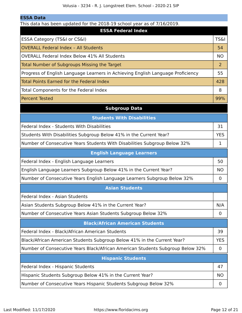This data has been updated for the 2018-19 school year as of 7/16/2019.

| THIS GALA HAS DEETED DUALED TOF LIFE ZUID-IS SCHOOL YEAL AS OF $7/10/2015$ .<br><b>ESSA Federal Index</b> |                 |  |  |
|-----------------------------------------------------------------------------------------------------------|-----------------|--|--|
| ESSA Category (TS&I or CS&I)                                                                              | <b>TS&amp;I</b> |  |  |
| <b>OVERALL Federal Index - All Students</b>                                                               | 54              |  |  |
| <b>OVERALL Federal Index Below 41% All Students</b>                                                       | <b>NO</b>       |  |  |
| Total Number of Subgroups Missing the Target                                                              | 2               |  |  |
| Progress of English Language Learners in Achieving English Language Proficiency                           | 55              |  |  |
| <b>Total Points Earned for the Federal Index</b>                                                          | 428             |  |  |
| Total Components for the Federal Index                                                                    | 8               |  |  |
| <b>Percent Tested</b>                                                                                     | 99%             |  |  |
| <b>Subgroup Data</b>                                                                                      |                 |  |  |
| <b>Students With Disabilities</b>                                                                         |                 |  |  |
| Federal Index - Students With Disabilities                                                                | 31              |  |  |
| Students With Disabilities Subgroup Below 41% in the Current Year?                                        | <b>YES</b>      |  |  |
| Number of Consecutive Years Students With Disabilities Subgroup Below 32%                                 | 1               |  |  |
| <b>English Language Learners</b>                                                                          |                 |  |  |
| Federal Index - English Language Learners                                                                 | 50              |  |  |
| English Language Learners Subgroup Below 41% in the Current Year?                                         | <b>NO</b>       |  |  |
| Number of Consecutive Years English Language Learners Subgroup Below 32%                                  | $\mathbf 0$     |  |  |
| <b>Asian Students</b>                                                                                     |                 |  |  |
| Federal Index - Asian Students                                                                            |                 |  |  |
| Asian Students Subgroup Below 41% in the Current Year?                                                    | N/A             |  |  |
| Number of Consecutive Years Asian Students Subgroup Below 32%                                             | $\mathbf 0$     |  |  |
| <b>Black/African American Students</b>                                                                    |                 |  |  |
| Federal Index - Black/African American Students                                                           | 39              |  |  |
| Black/African American Students Subgroup Below 41% in the Current Year?                                   | <b>YES</b>      |  |  |
| Number of Consecutive Years Black/African American Students Subgroup Below 32%                            | $\mathbf 0$     |  |  |
| <b>Hispanic Students</b>                                                                                  |                 |  |  |
| Federal Index - Hispanic Students                                                                         | 47              |  |  |
| Hispanic Students Subgroup Below 41% in the Current Year?                                                 | <b>NO</b>       |  |  |
| Number of Consecutive Years Hispanic Students Subgroup Below 32%                                          | $\mathbf 0$     |  |  |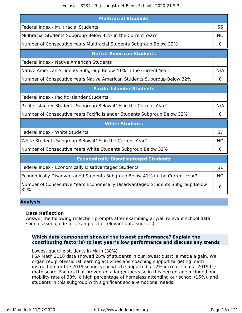| <b>Multiracial Students</b>                                                           |             |  |  |
|---------------------------------------------------------------------------------------|-------------|--|--|
| Federal Index - Multiracial Students                                                  | 56          |  |  |
| Multiracial Students Subgroup Below 41% in the Current Year?                          |             |  |  |
| Number of Consecutive Years Multiracial Students Subgroup Below 32%                   | 0           |  |  |
| <b>Native American Students</b>                                                       |             |  |  |
| Federal Index - Native American Students                                              |             |  |  |
| Native American Students Subgroup Below 41% in the Current Year?                      | N/A         |  |  |
| Number of Consecutive Years Native American Students Subgroup Below 32%               | 0           |  |  |
| <b>Pacific Islander Students</b>                                                      |             |  |  |
| Federal Index - Pacific Islander Students                                             |             |  |  |
| Pacific Islander Students Subgroup Below 41% in the Current Year?                     |             |  |  |
| Number of Consecutive Years Pacific Islander Students Subgroup Below 32%              | $\mathbf 0$ |  |  |
| <b>White Students</b>                                                                 |             |  |  |
| Federal Index - White Students                                                        | 57          |  |  |
| White Students Subgroup Below 41% in the Current Year?                                | <b>NO</b>   |  |  |
| Number of Consecutive Years White Students Subgroup Below 32%                         | 0           |  |  |
| <b>Economically Disadvantaged Students</b>                                            |             |  |  |
| Federal Index - Economically Disadvantaged Students                                   | 51          |  |  |
| Economically Disadvantaged Students Subgroup Below 41% in the Current Year?           | <b>NO</b>   |  |  |
| Number of Consecutive Years Economically Disadvantaged Students Subgroup Below<br>32% |             |  |  |

# **Analysis**

# **Data Reflection**

Answer the following reflection prompts after examining any/all relevant school data sources (see guide for examples for relevant data sources).

# **Which data component showed the lowest performance? Explain the contributing factor(s) to last year's low performance and discuss any trends**

Lowest quartile students in Math (38%)

FSA Math 2018 data showed 26% of students in our lowest quartile made a gain. We organized professional learning activities and coaching support targeting math instruction for the 2019 school year which supported a 12% increase in our 2019 LQ math score. Factors that prevented a larger increase in this percentage included our mobility rate of 33%, a high percentage of homeless attending our school (15%), and students in this subgroup with significant social-emotional needs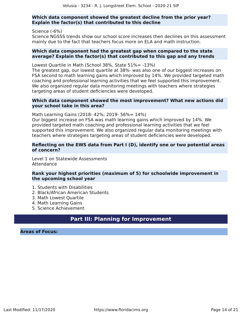# **Which data component showed the greatest decline from the prior year? Explain the factor(s) that contributed to this decline**

Science (-6%) Science NGSSS trends show our school score increases then declines on this assessment mainly due to the fact that teachers focus more on ELA and math instruction.

### **Which data component had the greatest gap when compared to the state average? Explain the factor(s) that contributed to this gap and any trends**

Lowest Quartile in Math (School 38%, State 51%= -13%)

The greatest gap, our lowest quartile at 38%- was also one of our biggest increases on FSA second to math learning gains which improved by 14%. We provided targeted math coaching and professional learning activities that we feel supported this improvement. We also organized regular data monitoring meetings with teachers where strategies targeting areas of student deficiencies were developed.

## **Which data component showed the most improvement? What new actions did your school take in this area?**

Math Learning Gains (2018- 42%; 2019- 56%= 14%)

Our biggest increase on FSA was math learning gains which improved by 14%. We provided targeted math coaching and professional learning activities that we feel supported this improvement. We also organized regular data monitoring meetings with teachers where strategies targeting areas of student deficiencies were developed.

# **Reflecting on the EWS data from Part I (D), identify one or two potential areas of concern?**

Level 1 on Statewide Assessments Attendance

# **Rank your highest priorities (maximum of 5) for schoolwide improvement in the upcoming school year**

- 1. Students with Disabilities
- 2. Black/African American Students
- 3. Math Lowest Quartile
- 4. Math Learning Gains
- 5. Science Achievement

# **Part III: Planning for Improvement**

#### <span id="page-13-0"></span>**Areas of Focus:**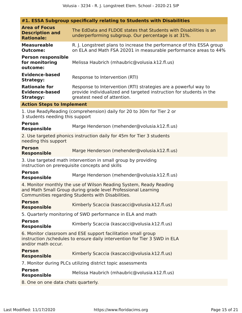|                                                                                                                                                                                          | #1. ESSA Subgroup specifically relating to Students with Disabilities                                                                                                 |  |  |
|------------------------------------------------------------------------------------------------------------------------------------------------------------------------------------------|-----------------------------------------------------------------------------------------------------------------------------------------------------------------------|--|--|
| <b>Area of Focus</b><br><b>Description and</b><br><b>Rationale:</b>                                                                                                                      | The EdData and FLDOE states that Students with Disabilities is an<br>underperforming subgroup. Our percentage is at 31%.                                              |  |  |
| <b>Measureable</b><br><b>Outcome:</b>                                                                                                                                                    | R. J. Longstreet plans to increase the performance of this ESSA group<br>on ELA and Math FSA 20201 in measurable performance areas to 44%                             |  |  |
| <b>Person responsible</b><br>for monitoring<br>outcome:                                                                                                                                  | Melissa Haubrich (mhaubric@volusia.k12.fl.us)                                                                                                                         |  |  |
| <b>Evidence-based</b><br><b>Strategy:</b>                                                                                                                                                | Response to Intervention (RTI)                                                                                                                                        |  |  |
| <b>Rationale for</b><br><b>Evidence-based</b><br><b>Strategy:</b>                                                                                                                        | Response to Intervention (RTI) strategies are a powerful way to<br>provide individualized and targeted instruction for students in the<br>greatest need of attention. |  |  |
| <b>Action Steps to Implement</b>                                                                                                                                                         |                                                                                                                                                                       |  |  |
| 1. Use ReadyReading (comprehension) daily for 20 to 30m for Tier 2 or<br>3 students needing this support                                                                                 |                                                                                                                                                                       |  |  |
| <b>Person</b><br><b>Responsible</b>                                                                                                                                                      | Marge Henderson (mehender@volusia.k12.fl.us)                                                                                                                          |  |  |
| needing this support                                                                                                                                                                     | 2. Use targeted phonics instruction daily for 45m for Tier 3 students                                                                                                 |  |  |
| <b>Person</b><br><b>Responsible</b>                                                                                                                                                      | Marge Henderson (mehender@volusia.k12.fl.us)                                                                                                                          |  |  |
| 3. Use targeted math intervention in small group by providing<br>instruction on prerequisite concepts and skills                                                                         |                                                                                                                                                                       |  |  |
| <b>Person</b><br><b>Responsible</b>                                                                                                                                                      | Marge Henderson (mehender@volusia.k12.fl.us)                                                                                                                          |  |  |
| 4. Monitor monthly the use of Wilson Reading System, Ready Reading<br>and Math Small Group during grade level Professional Learning<br>Communities regarding Students with Disabilities. |                                                                                                                                                                       |  |  |
| <b>Person</b><br><b>Responsible</b>                                                                                                                                                      | Kimberly Scaccia (kascacci@volusia.k12.fl.us)                                                                                                                         |  |  |
|                                                                                                                                                                                          | 5. Quarterly monitoring of SWD performance in ELA and math                                                                                                            |  |  |
| <b>Person</b><br><b>Responsible</b>                                                                                                                                                      | Kimberly Scaccia (kascacci@volusia.k12.fl.us)                                                                                                                         |  |  |
| 6. Monitor classroom and ESE support facilitation small group<br>instruction /schedules to ensure daily intervention for Tier 3 SWD in ELA<br>and/or math occur.                         |                                                                                                                                                                       |  |  |
| <b>Person</b><br><b>Responsible</b>                                                                                                                                                      | Kimberly Scaccia (kascacci@volusia.k12.fl.us)                                                                                                                         |  |  |
|                                                                                                                                                                                          | 7. Monitor during PLCs utilizing district topic assessments                                                                                                           |  |  |
| <b>Person</b><br><b>Responsible</b>                                                                                                                                                      | Melissa Haubrich (mhaubric@volusia.k12.fl.us)                                                                                                                         |  |  |

8. One on one data chats quarterly.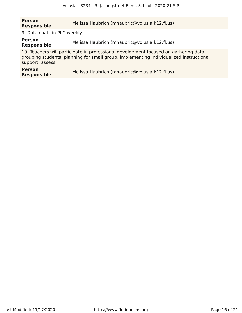# **Person Responsible** Melissa Haubrich (mhaubric@volusia.k12.fl.us)

9. Data chats in PLC weekly.

**Person Person**<br>**Responsible** Melissa Haubrich (mhaubric@volusia.k12.fl.us)

10. Teachers will participate in professional development focused on gathering data, grouping students, planning for small group, implementing individualized instructional support, assess

| <b>Person</b>      | Melissa Haubrich (mhaubric@volusia.k12.fl.us) |
|--------------------|-----------------------------------------------|
| <b>Responsible</b> |                                               |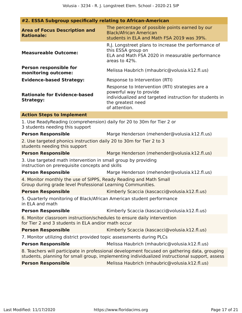| $\pi$ 2. LJJA Jubylvup specifically relating to Allican-Allieficall                                                              |                                                                                                                                                                                               |
|----------------------------------------------------------------------------------------------------------------------------------|-----------------------------------------------------------------------------------------------------------------------------------------------------------------------------------------------|
| <b>Area of Focus Description and</b><br><b>Rationale:</b>                                                                        | The percentage of possible points earned by our<br><b>Black/African American</b><br>students in ELA and Math FSA 2019 was 39%.                                                                |
| <b>Measureable Outcome:</b>                                                                                                      | R.J. Longstreet plans to increase the performance of<br>this ESSA group on<br>ELA and Math FSA 2020 in measurable performance<br>areas to 42%.                                                |
| Person responsible for<br>monitoring outcome:                                                                                    | Melissa Haubrich (mhaubric@volusia.k12.fl.us)                                                                                                                                                 |
| <b>Evidence-based Strategy:</b>                                                                                                  | Response to Intervention (RTI)                                                                                                                                                                |
| <b>Rationale for Evidence-based</b><br><b>Strategy:</b>                                                                          | Response to Intervention (RTI) strategies are a<br>powerful way to provide<br>individualized and targeted instruction for students in<br>the greatest need<br>of attention.                   |
| <b>Action Steps to Implement</b>                                                                                                 |                                                                                                                                                                                               |
| 1. Use ReadyReading (comprehension) daily for 20 to 30m for Tier 2 or<br>3 students needing this support                         |                                                                                                                                                                                               |
| <b>Person Responsible</b>                                                                                                        | Marge Henderson (mehender@volusia.k12.fl.us)                                                                                                                                                  |
| 2. Use targeted phonics instruction daily 20 to 30m for Tier 2 to 3<br>students needing this support                             |                                                                                                                                                                                               |
| <b>Person Responsible</b>                                                                                                        | Marge Henderson (mehender@volusia.k12.fl.us)                                                                                                                                                  |
| 3. Use targeted math intervention in small group by providing<br>instruction on prerequisite concepts and skills                 |                                                                                                                                                                                               |
| <b>Person Responsible</b>                                                                                                        | Marge Henderson (mehender@volusia.k12.fl.us)                                                                                                                                                  |
| 4. Monitor monthly the use of SIPPS, Ready Reading and Math Small<br>Group during grade level Professional Learning Communities. |                                                                                                                                                                                               |
| <b>Person Responsible</b>                                                                                                        | Kimberly Scaccia (kascacci@volusia.k12.fl.us)                                                                                                                                                 |
| 5. Quarterly monitoring of Black/African American student performance<br>in ELA and math                                         |                                                                                                                                                                                               |
| <b>Person Responsible</b>                                                                                                        | Kimberly Scaccia (kascacci@volusia.k12.fl.us)                                                                                                                                                 |
| 6. Monitor classroom instruction/schedules to ensure daily intervention<br>for Tier 2 and 3 students in ELA and/or math occur    |                                                                                                                                                                                               |
| <b>Person Responsible</b>                                                                                                        | Kimberly Scaccia (kascacci@volusia.k12.fl.us)                                                                                                                                                 |
| 7. Monitor utilizing district provided topic assessments during PLCs                                                             |                                                                                                                                                                                               |
| <b>Person Responsible</b>                                                                                                        | Melissa Haubrich (mhaubric@volusia.k12.fl.us)                                                                                                                                                 |
|                                                                                                                                  | 8. Teachers will participate in professional development focused on gathering data, grouping<br>students, planning for small group, implementing individualized instructional support, assess |
| <b>Person Responsible</b>                                                                                                        | Melissa Haubrich (mhaubric@volusia.k12.fl.us)                                                                                                                                                 |

# **#2. ESSA Subgroup specifically relating to African-American**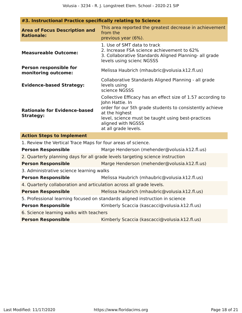| <b>Area of Focus Description and</b><br><b>Rationale:</b>            | This area reported the greatest decrease in achievement<br>from the<br>previous year (6%).                                                                                                                                                                       |
|----------------------------------------------------------------------|------------------------------------------------------------------------------------------------------------------------------------------------------------------------------------------------------------------------------------------------------------------|
| <b>Measureable Outcome:</b>                                          | 1. Use of SMT data to track<br>2. Increase FSA science achievement to 62%<br>3. Collaborative Standards Aligned Planning- all grade<br>levels using scienc NGSSS                                                                                                 |
| Person responsible for<br>monitoring outcome:                        | Melissa Haubrich (mhaubric@volusia.k12.fl.us)                                                                                                                                                                                                                    |
| <b>Evidence-based Strategy:</b>                                      | Collaborative Standards Aligned Planning - all grade<br>levels using<br>science NGSSS                                                                                                                                                                            |
| <b>Rationale for Evidence-based</b><br><b>Strategy:</b>              | Collective Efficacy has an effect size of 1.57 according to<br>John Hattie. In<br>order for our 5th grade students to consistently achieve<br>at the highest<br>level, science must be taught using best-practices<br>aligned with NGSSS<br>at all grade levels. |
| <b>Action Steps to Implement</b>                                     |                                                                                                                                                                                                                                                                  |
| 1. Review the Vertical Trace Maps for four areas of science.         |                                                                                                                                                                                                                                                                  |
| <b>Person Responsible</b>                                            | Marge Henderson (mehender@volusia.k12.fl.us)                                                                                                                                                                                                                     |
|                                                                      | 2. Quarterly planning days for all grade levels targeting science instruction                                                                                                                                                                                    |
| <b>Person Responsible</b>                                            | Marge Henderson (mehender@volusia.k12.fl.us)                                                                                                                                                                                                                     |
| 3. Administrative science learning walks                             |                                                                                                                                                                                                                                                                  |
| <b>Person Responsible</b>                                            | Melissa Haubrich (mhaubric@volusia.k12.fl.us)                                                                                                                                                                                                                    |
| 4. Quarterly collaboration and articulation across all grade levels. |                                                                                                                                                                                                                                                                  |
| <b>Person Responsible</b>                                            | Melissa Haubrich (mhaubric@volusia.k12.fl.us)                                                                                                                                                                                                                    |
|                                                                      | 5. Professional learning focused on standards aligned instruction in science                                                                                                                                                                                     |
| <b>Person Responsible</b>                                            | Kimberly Scaccia (kascacci@volusia.k12.fl.us)                                                                                                                                                                                                                    |
| 6. Science learning walks with teachers                              |                                                                                                                                                                                                                                                                  |
| <b>Person Responsible</b>                                            | Kimberly Scaccia (kascacci@volusia.k12.fl.us)                                                                                                                                                                                                                    |

# **#3. Instructional Practice specifically relating to Science**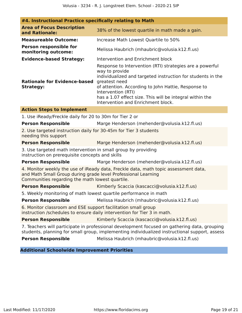| #4. Instructional Practice specifically relating to Math                                                                                                                                                |                                                                                                                                                                                                                                                                                                                                           |  |  |
|---------------------------------------------------------------------------------------------------------------------------------------------------------------------------------------------------------|-------------------------------------------------------------------------------------------------------------------------------------------------------------------------------------------------------------------------------------------------------------------------------------------------------------------------------------------|--|--|
| <b>Area of Focus Description</b><br>and Rationale:                                                                                                                                                      | 38% of the lowest quartile in math made a gain.                                                                                                                                                                                                                                                                                           |  |  |
| <b>Measureable Outcome:</b>                                                                                                                                                                             | Increase Math Lowest Quartile to 50%                                                                                                                                                                                                                                                                                                      |  |  |
| <b>Person responsible for</b><br>monitoring outcome:                                                                                                                                                    | Melissa Haubrich (mhaubric@volusia.k12.fl.us)                                                                                                                                                                                                                                                                                             |  |  |
| <b>Evidence-based Strategy:</b>                                                                                                                                                                         | Intervention and Enrichment block                                                                                                                                                                                                                                                                                                         |  |  |
| <b>Rationale for Evidence-based</b><br><b>Strategy:</b>                                                                                                                                                 | Response to Intervention (RTI) strategies are a powerful<br>way to provide<br>individualized and targeted instruction for students in the<br>greatest need<br>of attention. According to John Hattie, Response to<br>Intervention (RTI)<br>has a 1.07 effect size. This will be integral within the<br>Intervention and Enrichment block. |  |  |
| <b>Action Steps to Implement</b>                                                                                                                                                                        |                                                                                                                                                                                                                                                                                                                                           |  |  |
| 1. Use iReady/Freckle daily for 20 to 30m for Tier 2 or                                                                                                                                                 |                                                                                                                                                                                                                                                                                                                                           |  |  |
| <b>Person Responsible</b>                                                                                                                                                                               | Marge Henderson (mehender@volusia.k12.fl.us)                                                                                                                                                                                                                                                                                              |  |  |
| 2. Use targeted instruction daily for 30-45m for Tier 3 students<br>needing this support                                                                                                                |                                                                                                                                                                                                                                                                                                                                           |  |  |
| <b>Person Responsible</b>                                                                                                                                                                               | Marge Henderson (mehender@volusia.k12.fl.us)                                                                                                                                                                                                                                                                                              |  |  |
| 3. Use targeted math intervention in small group by providing<br>instruction on prerequisite concepts and skills                                                                                        |                                                                                                                                                                                                                                                                                                                                           |  |  |
| <b>Person Responsible</b>                                                                                                                                                                               | Marge Henderson (mehender@volusia.k12.fl.us)                                                                                                                                                                                                                                                                                              |  |  |
| 4. Monitor weekly the use of iReady data, Freckle data, math topic assessment data,<br>and Math Small Group during grade level Professional Learning<br>Communities regarding the math lowest quartile. |                                                                                                                                                                                                                                                                                                                                           |  |  |
| <b>Person Responsible</b>                                                                                                                                                                               | Kimberly Scaccia (kascacci@volusia.k12.fl.us)                                                                                                                                                                                                                                                                                             |  |  |
| 5. Weekly monitoring of math lowest quartile performance in math                                                                                                                                        |                                                                                                                                                                                                                                                                                                                                           |  |  |
| <b>Person Responsible</b>                                                                                                                                                                               | Melissa Haubrich (mhaubric@volusia.k12.fl.us)                                                                                                                                                                                                                                                                                             |  |  |
| 6. Monitor classroom and ESE support facilitation small group                                                                                                                                           | instruction /schedules to ensure daily intervention for Tier 3 in math.                                                                                                                                                                                                                                                                   |  |  |
| <b>Person Responsible</b>                                                                                                                                                                               | Kimberly Scaccia (kascacci@volusia.k12.fl.us)                                                                                                                                                                                                                                                                                             |  |  |
| 7. Teachers will participate in professional development focused on gathering data, grouping<br>students, planning for small group, implementing individualized instructional support, assess           |                                                                                                                                                                                                                                                                                                                                           |  |  |
| <b>Person Responsible</b>                                                                                                                                                                               | Melissa Haubrich (mhaubric@volusia.k12.fl.us)                                                                                                                                                                                                                                                                                             |  |  |

# **Additional Schoolwide Improvement Priorities**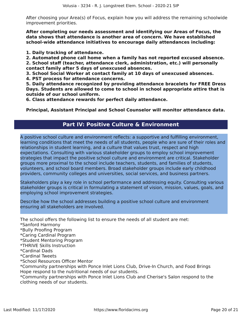After choosing your Area(s) of Focus, explain how you will address the remaining schoolwide improvement priorities.

**After completing our needs assessment and identifying our Areas of Focus, the data shows that attendance is another area of concern. We have established school-wide attendance initiatives to encourage daily attendances including:**

**1. Daily tracking of attendance.**

**2. Automated phone call home when a family has not reported excused absence. 2. School staff (teacher, attendance clerk, administration, etc.) will personally contact family after 5 days of unexcused absences.**

**3. School Social Worker at contact family at 10 days of unexcused absences.**

**4. PST process for attendance concerns.**

**5. Daily attendance recognized by providing attendance bracelets for FREE Dress Days. Students are allowed to come to school in school appropriate attire that is outside of our school uniform.**

**6. Class attendance rewards for perfect daily attendance.**

**Principal, Assistant Principal and School Counselor will monitor attendance data.**

# **Part IV: Positive Culture & Environment**

<span id="page-19-0"></span>A positive school culture and environment reflects: a supportive and fulfilling environment, learning conditions that meet the needs of all students, people who are sure of their roles and relationships in student learning, and a culture that values trust, respect and high expectations. Consulting with various stakeholder groups to employ school improvement strategies that impact the positive school culture and environment are critical. Stakeholder groups more proximal to the school include teachers, students, and families of students, volunteers, and school board members. Broad stakeholder groups include early childhood providers, community colleges and universities, social services, and business partners.

Stakeholders play a key role in school performance and addressing equity. Consulting various stakeholder groups is critical in formulating a statement of vision, mission, values, goals, and employing school improvement strategies.

Describe how the school addresses building a positive school culture and environment ensuring all stakeholders are involved.

The school offers the following list to ensure the needs of all student are met:

\*Sanford Harmony

\*Bully Proofing Program

\*Caring Cardinal Program

\*Student Mentoring Program

\*THRIVE Skills Instruction

\*Cardinal Dads

\*Cardinal Tweets

\*School Resources Officer Mentor

\*Community partnerships with Ponce Inlet Lions Club, Drive-In Church, and Food Brings Hope respond to the nutritional needs of our students.

\*Community partnerships with Ponce Inlet Lions Club and Cherise's Salon respond to the clothing needs of our students.